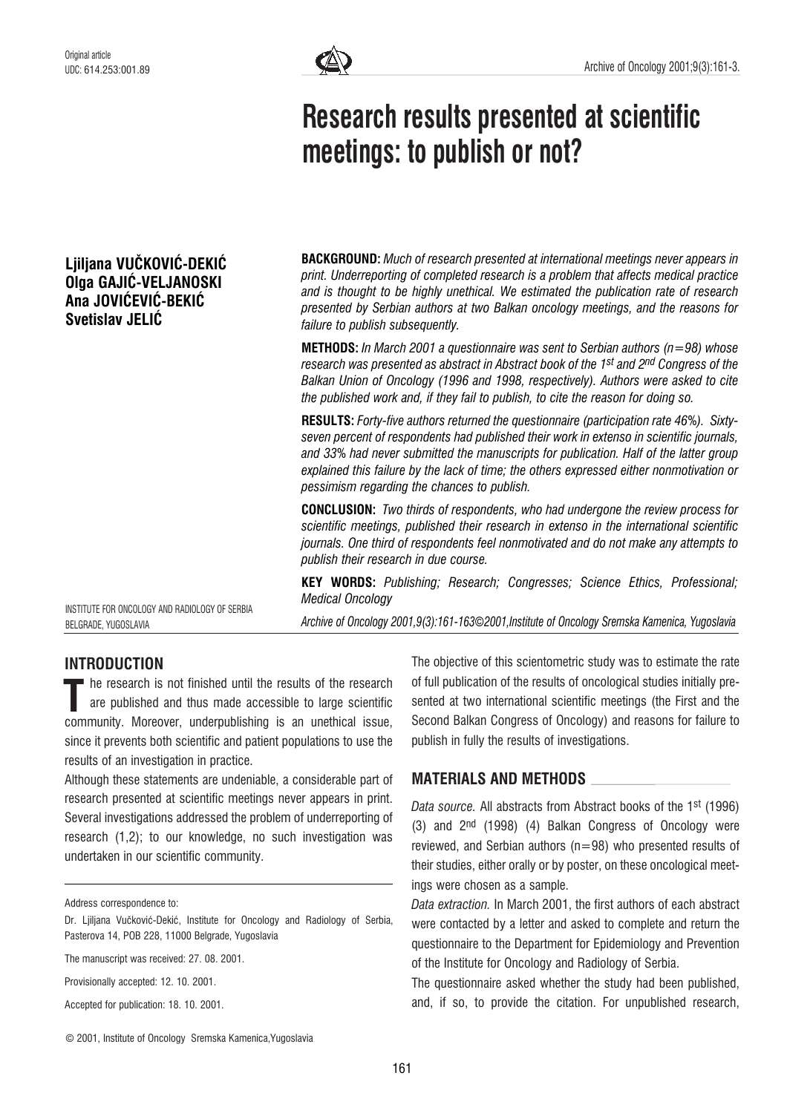# Liiliana VUČKOVIĆ-DEKIĆ Olga GAJIĆ-VELJANOSKI Ana JOVIĆEVIĆ-BEKIĆ Svetislav JELIĆ



# Research results presented at scientific meetings: to publish or not?

**BACKGROUND:** Much of research presented at international meetings never appears in print. Underreporting of completed research is a problem that affects medical practice and is thought to be highly unethical. We estimated the publication rate of research presented by Serbian authors at two Balkan oncology meetings, and the reasons for failure to publish subsequently.

**METHODS:** In March 2001 a questionnaire was sent to Serbian authors ( $n=98$ ) whose research was presented as abstract in Abstract book of the 1st and 2nd Congress of the Balkan Union of Oncology (1996 and 1998, respectively). Authors were asked to cite the published work and, if they fail to publish, to cite the reason for doing so.

RESULTS: Forty-five authors returned the questionnaire (participation rate 46%). Sixtyseven percent of respondents had published their work in extenso in scientific journals, and 33% had never submitted the manuscripts for publication. Half of the latter group explained this failure by the lack of time; the others expressed either nonmotivation or pessimism regarding the chances to publish.

CONCLUSION: Two thirds of respondents, who had undergone the review process for scientific meetings, published their research in extenso in the international scientific journals. One third of respondents feel nonmotivated and do not make any attempts to publish their research in due course.

KEY WORDS: Publishing; Research; Congresses; Science Ethics, Professional; Medical Oncology

Archive of Oncology 2001,9(3):161-163*©*2001,Institute of Oncology Sremska Kamenica, Yugoslavia

# INTRODUCTION

BELGRADE, YUGOSLAVIA

INSTITUTE FOR ONCOLOGY AND RADIOLOGY OF SERBIA

he research is not finished until the results of the research are published and thus made accessible to large scientific The research is not finished until the results of the research<br>are published and thus made accessible to large scientific<br>community. Moreover, underpublishing is an unethical issue, since it prevents both scientific and patient populations to use the results of an investigation in practice.

Although these statements are undeniable, a considerable part of research presented at scientific meetings never appears in print. Several investigations addressed the problem of underreporting of research (1,2); to our knowledge, no such investigation was undertaken in our scientific community.

Address correspondence to:

The manuscript was received: 27. 08. 2001.

Provisionally accepted: 12. 10. 2001.

Accepted for publication: 18. 10. 2001.

The objective of this scientometric study was to estimate the rate of full publication of the results of oncological studies initially presented at two international scientific meetings (the First and the Second Balkan Congress of Oncology) and reasons for failure to publish in fully the results of investigations.

## MATERIALS AND METHODS

Data source. All abstracts from Abstract books of the 1st (1996) (3) and 2nd (1998) (4) Balkan Congress of Oncology were reviewed, and Serbian authors ( $n=98$ ) who presented results of their studies, either orally or by poster, on these oncological meetings were chosen as a sample.

Data extraction. In March 2001, the first authors of each abstract were contacted by a letter and asked to complete and return the questionnaire to the Department for Epidemiology and Prevention of the Institute for Oncology and Radiology of Serbia.

The questionnaire asked whether the study had been published, and, if so, to provide the citation. For unpublished research,

Dr. Liiliana Vučković-Dekić, Institute for Oncology and Radiology of Serbia, Pasterova 14, POB 228, 11000 Belgrade, Yugoslavia

<sup>©</sup> 2001, Institute of Oncology Sremska Kamenica,Yugoslavia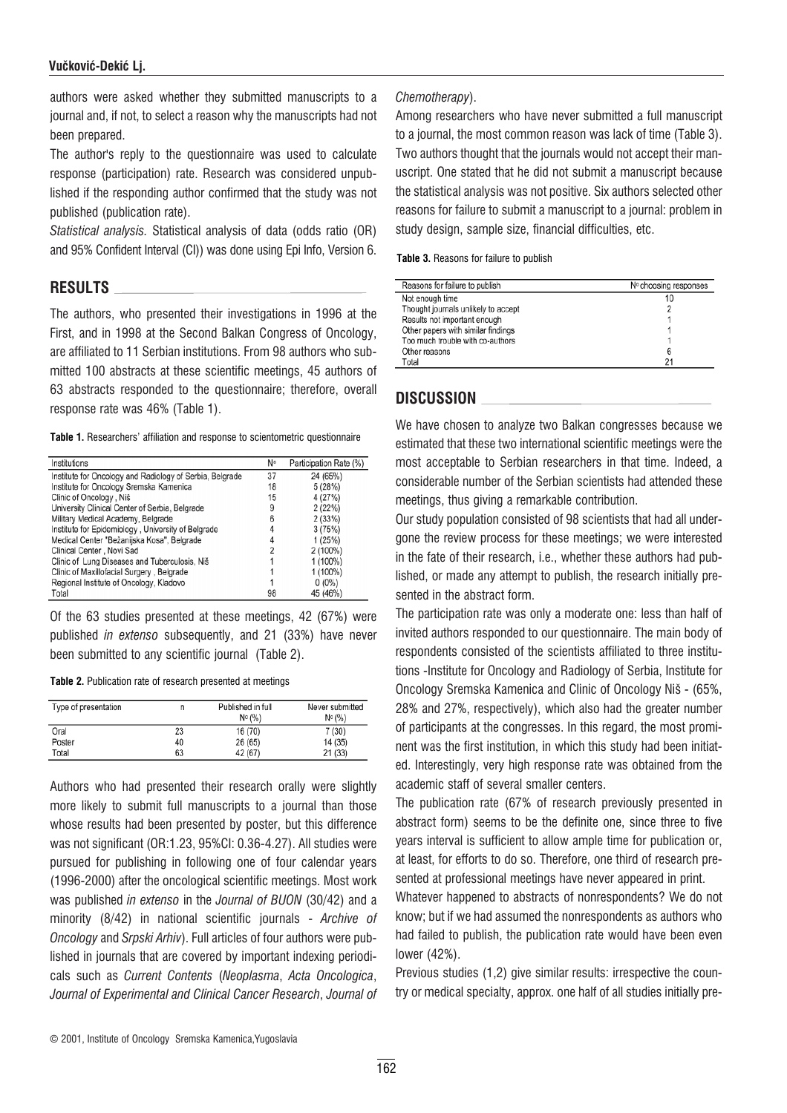#### Vučković-Dekić Li.

authors were asked whether they submitted manuscripts to a journal and, if not, to select a reason why the manuscripts had not been prepared.

The author's reply to the questionnaire was used to calculate response (participation) rate. Research was considered unpublished if the responding author confirmed that the study was not published (publication rate).

Statistical analysis. Statistical analysis of data (odds ratio (OR) and 95% Confident Interval (CI)) was done using Epi Info, Version 6.

## RESULTS

The authors, who presented their investigations in 1996 at the First, and in 1998 at the Second Balkan Congress of Oncology, are affiliated to 11 Serbian institutions. From 98 authors who submitted 100 abstracts at these scientific meetings, 45 authors of 63 abstracts responded to the questionnaire; therefore, overall response rate was 46% (Table 1).

Table 1. Researchers' affiliation and response to scientometric questionnaire

| Institutions                                             | N۰ | Participation Rate (%) |
|----------------------------------------------------------|----|------------------------|
| Institute for Oncology and Radiology of Serbia, Belgrade | 37 | 24 (65%)               |
| Institute for Oncology Sremska Kamenica                  | 18 | 5(28%)                 |
| Clinic of Oncology, Niš                                  | 15 | 4 (27%)                |
| University Clinical Center of Serbia, Belgrade           | 9  | 2(22%)                 |
| Military Medical Academy, Belgrade                       | 6  | 2(33%)                 |
| Institute for Epidemiology, University of Belgrade       |    | 3(75%)                 |
| Medical Center "Bežanijska Kosa", Belgrade               |    | 1(25%)                 |
| Clinical Center, Novi Sad                                |    | 2 (100%)               |
| Clinic of Lung Diseases and Tuberculosis, Niš            |    | 1 (100%)               |
| Clinic of Maxillofacial Surgery, Belgrade                |    | 1 (100%)               |
| Regional Institute of Oncology, Kladovo                  |    | $0(0\%)$               |
| Total                                                    | 98 | 45 (46%)               |

Of the 63 studies presented at these meetings, 42 (67%) were published in extenso subsequently, and 21 (33%) have never been submitted to any scientific journal (Table 2).

Table 2. Publication rate of research presented at meetings

| Type of presentation |    | Published in full<br>$N^{\circ}$ (%) | Never submitted<br>$N^{\circ}$ (%) |
|----------------------|----|--------------------------------------|------------------------------------|
| Oral                 | 23 | 16 (70)                              | 7(30)                              |
| Poster               | 40 | 26 (65)                              | 14 (35)                            |
| Total                | 63 | 42 (67)                              | 21 (33)                            |

Authors who had presented their research orally were slightly more likely to submit full manuscripts to a journal than those whose results had been presented by poster, but this difference was not significant (OR:1.23, 95%CI: 0.36-4.27). All studies were pursued for publishing in following one of four calendar years (1996-2000) after the oncological scientific meetings. Most work was published in extenso in the Journal of BUON (30/42) and a minority (8/42) in national scientific journals - Archive of Oncology and Srpski Arhiv). Full articles of four authors were published in journals that are covered by important indexing periodicals such as Current Contents (Neoplasma, Acta Oncologica, Journal of Experimental and Clinical Cancer Research, Journal of

#### Chemotherapy).

Among researchers who have never submitted a full manuscript to a journal, the most common reason was lack of time (Table 3). Two authors thought that the journals would not accept their manuscript. One stated that he did not submit a manuscript because the statistical analysis was not positive. Six authors selected other reasons for failure to submit a manuscript to a journal: problem in study design, sample size, financial difficulties, etc.

Table 3. Reasons for failure to publish

| Reasons for failure to publish      | Nº choosing responses |
|-------------------------------------|-----------------------|
| Not enough time                     | 10                    |
| Thought journals unlikely to accept |                       |
| Results not important enough        |                       |
| Other papers with similar findings  |                       |
| Too much trouble with co-authors    |                       |
| Other reasons                       | 6                     |
| Total                               | 21                    |

# DISCUSSION

We have chosen to analyze two Balkan congresses because we estimated that these two international scientific meetings were the most acceptable to Serbian researchers in that time. Indeed, a considerable number of the Serbian scientists had attended these meetings, thus giving a remarkable contribution.

Our study population consisted of 98 scientists that had all undergone the review process for these meetings; we were interested in the fate of their research, i.e., whether these authors had published, or made any attempt to publish, the research initially presented in the abstract form.

The participation rate was only a moderate one: less than half of invited authors responded to our questionnaire. The main body of respondents consisted of the scientists affiliated to three institutions -Institute for Oncology and Radiology of Serbia, Institute for Oncology Sremska Kamenica and Clinic of Oncology Niš - (65%, 28% and 27%, respectively), which also had the greater number of participants at the congresses. In this regard, the most prominent was the first institution, in which this study had been initiated. Interestingly, very high response rate was obtained from the academic staff of several smaller centers.

The publication rate (67% of research previously presented in abstract form) seems to be the definite one, since three to five years interval is sufficient to allow ample time for publication or, at least, for efforts to do so. Therefore, one third of research presented at professional meetings have never appeared in print.

Whatever happened to abstracts of nonrespondents? We do not know; but if we had assumed the nonrespondents as authors who had failed to publish, the publication rate would have been even lower (42%).

Previous studies (1,2) give similar results: irrespective the country or medical specialty, approx. one half of all studies initially pre